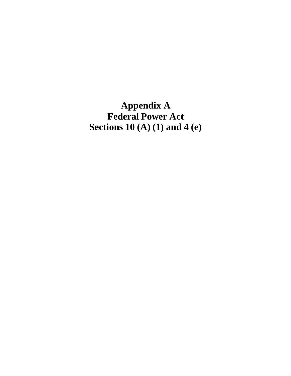**Appendix A Federal Power Act Sections 10 (A) (1) and 4 (e)**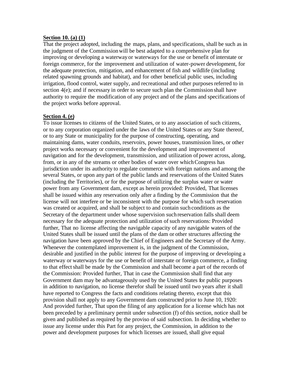## **Section 10. (a) (1)**

That the project adopted, including the maps, plans, and specifications, shall be such as in the judgment of the Commissionwill be best adapted to a comprehensive plan for improving or developing a waterwayor waterways for the use or benefit of interstate or foreign commerce, for the improvement and utilization of water-power development, for the adequate protection, mitigation, and enhancement of fish and wildlife (including related spawning grounds and habitat), and for other beneficial public uses, including irrigation, flood control, water supply, and recreational and other purposes referred to in section 4(e); and if necessary in order to secure such plan the Commission shall have authority to require the modification of any project and of the plans and specifications of the project works before approval.

## **Section 4. (e)**

To issue licenses to citizens of the United States, or to any association of such citizens, or to any corporation organized under the laws of the United States or any State thereof, or to any State or municipality for the purpose of constructing, operating, and maintaining dams, water conduits, reservoirs, power houses, transmission lines, or other project works necessary or convenient for the development and improvement of navigation and for the development, transmission, and utilization of power across, along, from, or in any of the streams or other bodies of water over whichCongress has jurisdiction under its authority to regulate commerce with foreign nations and among the several States, or upon any part of the public lands and reservations of the United States (including the Territories), or for the purpose of utilizing the surplus water or water power from any Government dam, except as herein provided: Provided, That licenses shall be issued within any reservation only after a finding by the Commission that the license will not interfere or be inconsistent with the purpose for which such reservation was created or acquired, and shall be subject to and contain such conditions as the Secretary of the department under whose supervision such reservation falls shall deem necessary for the adequate protection and utilization of such reservations: Provided further, That no license affecting the navigable capacity of any navigable waters of the United States shall be issued until the plans of the dam or other structures affecting the navigation have been approved by the Chief of Engineers and the Secretary of the Army. Whenever the contemplated improvement is, in the judgment of the Commission, desirable and justified in the public interest for the purpose of improving or developing a waterway or waterways for the use or benefit of interstate or foreign commerce, a finding to that effect shall be made by the Commission and shall become a part of the records of the Commission: Provided further, That in case the Commission shall find that any Government dam may be advantageously used by the United States for public purposes in addition to navigation, no license therefor shall be issued until two years after it shall have reported to Congress the facts and conditions relating thereto, except that this provision shall not apply to any Government dam constructed prior to June 10, 1920: And provided further, That upon the filing of any application for a license which has not been preceded by a preliminary permit under subsection (f) ofthis section, notice shall be given and published as required by the proviso of said subsection. In deciding whether to issue any license under this Part for any project, the Commission, in addition to the power and development purposes for which licenses are issued, shall give equal